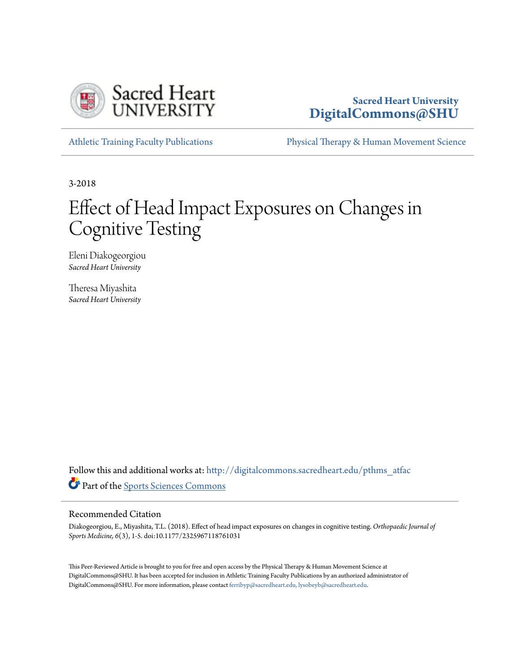

# **Sacred Heart University [DigitalCommons@SHU](http://digitalcommons.sacredheart.edu?utm_source=digitalcommons.sacredheart.edu%2Fpthms_atfac%2F2&utm_medium=PDF&utm_campaign=PDFCoverPages)**

[Athletic Training Faculty Publications](http://digitalcommons.sacredheart.edu/pthms_atfac?utm_source=digitalcommons.sacredheart.edu%2Fpthms_atfac%2F2&utm_medium=PDF&utm_campaign=PDFCoverPages) [Physical Therapy & Human Movement Science](http://digitalcommons.sacredheart.edu/pthms?utm_source=digitalcommons.sacredheart.edu%2Fpthms_atfac%2F2&utm_medium=PDF&utm_campaign=PDFCoverPages)

3-2018

# Effect of Head Impact Exposures on Changes in Cognitive Testing

Eleni Diakogeorgiou *Sacred Heart University*

Theresa Miyashita *Sacred Heart University*

Follow this and additional works at: [http://digitalcommons.sacredheart.edu/pthms\\_atfac](http://digitalcommons.sacredheart.edu/pthms_atfac?utm_source=digitalcommons.sacredheart.edu%2Fpthms_atfac%2F2&utm_medium=PDF&utm_campaign=PDFCoverPages) Part of the [Sports Sciences Commons](http://network.bepress.com/hgg/discipline/759?utm_source=digitalcommons.sacredheart.edu%2Fpthms_atfac%2F2&utm_medium=PDF&utm_campaign=PDFCoverPages)

# Recommended Citation

Diakogeorgiou, E., Miyashita, T.L. (2018). Effect of head impact exposures on changes in cognitive testing. *Orthopaedic Journal of Sports Medicine, 6*(3), 1-5. doi:10.1177/2325967118761031

This Peer-Reviewed Article is brought to you for free and open access by the Physical Therapy & Human Movement Science at DigitalCommons@SHU. It has been accepted for inclusion in Athletic Training Faculty Publications by an authorized administrator of DigitalCommons@SHU. For more information, please contact [ferribyp@sacredheart.edu, lysobeyb@sacredheart.edu.](mailto:ferribyp@sacredheart.edu,%20lysobeyb@sacredheart.edu)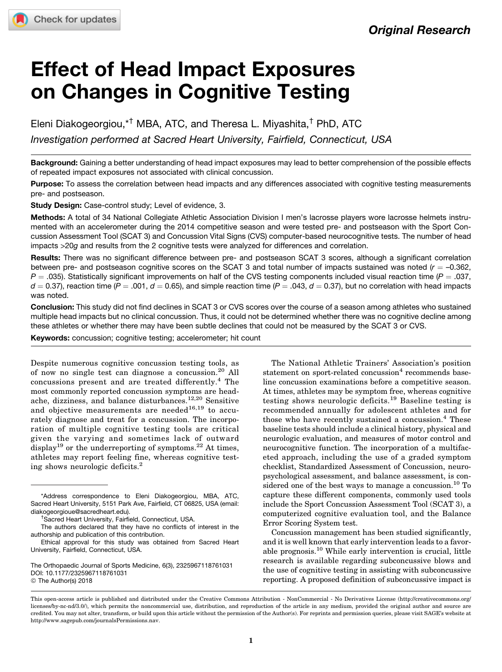# Effect of Head Impact Exposures on Changes in Cognitive Testing

Eleni Diakogeorgiou,\*† MBA, ATC, and Theresa L. Miyashita,† PhD, ATC Investigation performed at Sacred Heart University, Fairfield, Connecticut, USA

Background: Gaining a better understanding of head impact exposures may lead to better comprehension of the possible effects of repeated impact exposures not associated with clinical concussion.

Purpose: To assess the correlation between head impacts and any differences associated with cognitive testing measurements pre- and postseason.

Study Design: Case-control study; Level of evidence, 3.

Methods: A total of 34 National Collegiate Athletic Association Division I men's lacrosse players wore lacrosse helmets instrumented with an accelerometer during the 2014 competitive season and were tested pre- and postseason with the Sport Concussion Assessment Tool (SCAT 3) and Concussion Vital Signs (CVS) computer-based neurocognitive tests. The number of head impacts >20g and results from the 2 cognitive tests were analyzed for differences and correlation.

Results: There was no significant difference between pre- and postseason SCAT 3 scores, although a significant correlation between pre- and postseason cognitive scores on the SCAT 3 and total number of impacts sustained was noted ( $r = -0.362$ ,  $P = .035$ ). Statistically significant improvements on half of the CVS testing components included visual reaction time ( $P = .037$ ,  $d = 0.37$ ), reaction time (P = .001,  $d = 0.65$ ), and simple reaction time (P = .043,  $d = 0.37$ ), but no correlation with head impacts was noted.

Conclusion: This study did not find declines in SCAT 3 or CVS scores over the course of a season among athletes who sustained multiple head impacts but no clinical concussion. Thus, it could not be determined whether there was no cognitive decline among these athletes or whether there may have been subtle declines that could not be measured by the SCAT 3 or CVS.

Keywords: concussion; cognitive testing; accelerometer; hit count

Despite numerous cognitive concussion testing tools, as of now no single test can diagnose a concussion.<sup>20</sup> All concussions present and are treated differently.<sup>4</sup> The most commonly reported concussion symptoms are headache, dizziness, and balance disturbances.12,20 Sensitive and objective measurements are needed<sup>16,19</sup> to accurately diagnose and treat for a concussion. The incorporation of multiple cognitive testing tools are critical given the varying and sometimes lack of outward display<sup>19</sup> or the underreporting of symptoms.<sup>22</sup> At times, athletes may report feeling fine, whereas cognitive testing shows neurologic deficits.<sup>2</sup>

The National Athletic Trainers' Association's position statement on sport-related concussion<sup>4</sup> recommends baseline concussion examinations before a competitive season. At times, athletes may be symptom free, whereas cognitive testing shows neurologic deficits.<sup>19</sup> Baseline testing is recommended annually for adolescent athletes and for those who have recently sustained a concussion.<sup>4</sup> These baseline tests should include a clinical history, physical and neurologic evaluation, and measures of motor control and neurocognitive function. The incorporation of a multifaceted approach, including the use of a graded symptom checklist, Standardized Assessment of Concussion, neuropsychological assessment, and balance assessment, is considered one of the best ways to manage a concussion.<sup>10</sup> To capture these different components, commonly used tools include the Sport Concussion Assessment Tool (SCAT 3), a computerized cognitive evaluation tool, and the Balance Error Scoring System test.

Concussion management has been studied significantly, and it is well known that early intervention leads to a favorable prognosis.<sup>10</sup> While early intervention is crucial, little research is available regarding subconcussive blows and the use of cognitive testing in assisting with subconcussive reporting. A proposed definition of subconcussive impact is

<sup>\*</sup>Address correspondence to Eleni Diakogeorgiou, MBA, ATC, Sacred Heart University, 5151 Park Ave, Fairfield, CT 06825, USA (email: [diakogeorgioue@sacredheart.edu](mailto:diakogeorgioue@sacredheart.edu)). †

<sup>&</sup>lt;sup>†</sup>Sacred Heart University, Fairfield, Connecticut, USA.

The authors declared that they have no conflicts of interest in the authorship and publication of this contribution.

Ethical approval for this study was obtained from Sacred Heart University, Fairfield, Connecticut, USA.

The Orthopaedic Journal of Sports Medicine, 6(3), 2325967118761031 [DOI: 10.1177/2325967118761031](https://doi.org/10.1177/2325967118761031) © The Author(s) 2018

This open-access article is published and distributed under the Creative Commons Attribution - NonCommercial - No Derivatives License (http://creativecommons.org/ licenses/by-nc-nd/3.0/), which permits the noncommercial use, distribution, and reproduction of the article in any medium, provided the original author and source are credited. You may not alter, transform, or build upon this article without the permission of the Author(s). For reprints and permission queries, please visit SAGE's website at http://www.sagepub.com/journalsPermissions.nav.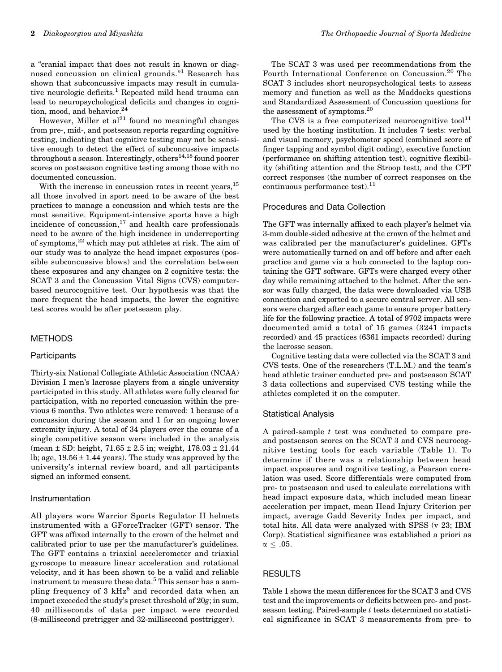a "cranial impact that does not result in known or diagnosed concussion on clinical grounds."<sup>1</sup> Research has shown that subconcussive impacts may result in cumulative neurologic deficits.<sup>1</sup> Repeated mild head trauma can lead to neuropsychological deficits and changes in cognition, mood, and behavior. $24$ 

However, Miller et  $al^{21}$  found no meaningful changes from pre-, mid-, and postseason reports regarding cognitive testing, indicating that cognitive testing may not be sensitive enough to detect the effect of subconcussive impacts throughout a season. Interestingly, others<sup>14,18</sup> found poorer scores on postseason cognitive testing among those with no documented concussion.

With the increase in concussion rates in recent years,  $^{15}$ all those involved in sport need to be aware of the best practices to manage a concussion and which tests are the most sensitive. Equipment-intensive sports have a high incidence of concussion, $17$  and health care professionals need to be aware of the high incidence in underreporting of symptoms,<sup>22</sup> which may put athletes at risk. The aim of our study was to analyze the head impact exposures (possible subconcussive blows) and the correlation between these exposures and any changes on 2 cognitive tests: the SCAT 3 and the Concussion Vital Signs (CVS) computerbased neurocognitive test. Our hypothesis was that the more frequent the head impacts, the lower the cognitive test scores would be after postseason play.

# METHODS

# **Participants**

Thirty-six National Collegiate Athletic Association (NCAA) Division I men's lacrosse players from a single university participated in this study. All athletes were fully cleared for participation, with no reported concussion within the previous 6 months. Two athletes were removed: 1 because of a concussion during the season and 1 for an ongoing lower extremity injury. A total of 34 players over the course of a single competitive season were included in the analysis (mean  $\pm$  SD: height,  $71.65 \pm 2.5$  in; weight,  $178.03 \pm 21.44$ lb; age,  $19.56 \pm 1.44$  years). The study was approved by the university's internal review board, and all participants signed an informed consent.

#### Instrumentation

All players wore Warrior Sports Regulator II helmets instrumented with a GForceTracker (GFT) sensor. The GFT was affixed internally to the crown of the helmet and calibrated prior to use per the manufacturer's guidelines. The GFT contains a triaxial accelerometer and triaxial gyroscope to measure linear acceleration and rotational velocity, and it has been shown to be a valid and reliable instrument to measure these data.<sup>5</sup> This sensor has a sampling frequency of 3  $kHz^5$  and recorded data when an impact exceeded the study's preset threshold of 20g; in sum, 40 milliseconds of data per impact were recorded (8-millisecond pretrigger and 32-millisecond posttrigger).

The SCAT 3 was used per recommendations from the Fourth International Conference on Concussion.<sup>20</sup> The SCAT 3 includes short neuropsychological tests to assess memory and function as well as the Maddocks questions and Standardized Assessment of Concussion questions for the assessment of symptoms.<sup>20</sup>

The CVS is a free computerized neurocognitive tool<sup>11</sup> used by the hosting institution. It includes 7 tests: verbal and visual memory, psychomotor speed (combined score of finger tapping and symbol digit coding), executive function (performance on shifting attention test), cognitive flexibility (shifiting attention and the Stroop test), and the CPT correct responses (the number of correct responses on the continuous performance test). $^{11}$ 

#### Procedures and Data Collection

The GFT was internally affixed to each player's helmet via 3-mm double-sided adhesive at the crown of the helmet and was calibrated per the manufacturer's guidelines. GFTs were automatically turned on and off before and after each practice and game via a hub connected to the laptop containing the GFT software. GFTs were charged every other day while remaining attached to the helmet. After the sensor was fully charged, the data were downloaded via USB connection and exported to a secure central server. All sensors were charged after each game to ensure proper battery life for the following practice. A total of 9702 impacts were documented amid a total of 15 games (3241 impacts recorded) and 45 practices (6361 impacts recorded) during the lacrosse season.

Cognitive testing data were collected via the SCAT 3 and CVS tests. One of the researchers (T.L.M.) and the team's head athletic trainer conducted pre- and postseason SCAT 3 data collections and supervised CVS testing while the athletes completed it on the computer.

# Statistical Analysis

A paired-sample  $t$  test was conducted to compare preand postseason scores on the SCAT 3 and CVS neurocognitive testing tools for each variable (Table 1). To determine if there was a relationship between head impact exposures and cognitive testing, a Pearson correlation was used. Score differentials were computed from pre- to postseason and used to calculate correlations with head impact exposure data, which included mean linear acceleration per impact, mean Head Injury Criterion per impact, average Gadd Severity Index per impact, and total hits. All data were analyzed with SPSS (v 23; IBM Corp). Statistical significance was established a priori as  $\alpha \leq .05.$ 

# **RESULTS**

Table 1 shows the mean differences for the SCAT 3 and CVS test and the improvements or deficits between pre- and postseason testing. Paired-sample t tests determined no statistical significance in SCAT 3 measurements from pre- to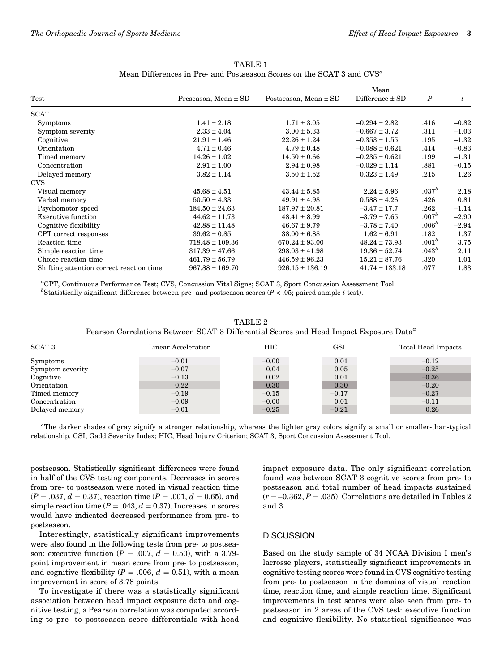|                                          |                          |                           | Mean                | $\boldsymbol{P}$  | t       |
|------------------------------------------|--------------------------|---------------------------|---------------------|-------------------|---------|
| Test                                     | Preseason, Mean $\pm$ SD | Postseason, Mean $\pm$ SD | Difference $\pm$ SD |                   |         |
| <b>SCAT</b>                              |                          |                           |                     |                   |         |
| <b>Symptoms</b>                          | $1.41 \pm 2.18$          | $1.71 \pm 3.05$           | $-0.294 \pm 2.82$   | .416              | $-0.82$ |
| Symptom severity                         | $2.33 \pm 4.04$          | $3.00 \pm 5.33$           | $-0.667 \pm 3.72$   | .311              | $-1.03$ |
| Cognitive                                | $21.91 \pm 1.46$         | $22.26 \pm 1.24$          | $-0.353 \pm 1.55$   | .195              | $-1.32$ |
| Orientation                              | $4.71 \pm 0.46$          | $4.79 \pm 0.48$           | $-0.088 \pm 0.621$  | .414              | $-0.83$ |
| Timed memory                             | $14.26 \pm 1.02$         | $14.50 \pm 0.66$          | $-0.235 \pm 0.621$  | .199              | $-1.31$ |
| Concentration                            | $2.91 \pm 1.00$          | $2.94 \pm 0.98$           | $-0.029 \pm 1.14$   | .881              | $-0.15$ |
| Delayed memory                           | $3.82 \pm 1.14$          | $3.50 \pm 1.52$           | $0.323 \pm 1.49$    | .215              | 1.26    |
| <b>CVS</b>                               |                          |                           |                     |                   |         |
| Visual memory                            | $45.68 \pm 4.51$         | $43.44 \pm 5.85$          | $2.24 \pm 5.96$     | .037 <sup>b</sup> | 2.18    |
| Verbal memory                            | $50.50 \pm 4.33$         | $49.91 \pm 4.98$          | $0.588 \pm 4.26$    | .426              | 0.81    |
| Psychomotor speed                        | $184.50 \pm 24.63$       | $187.97 \pm 20.81$        | $-3.47 \pm 17.7$    | .262              | $-1.14$ |
| Executive function                       | $44.62 \pm 11.73$        | $48.41 \pm 8.99$          | $-3.79 \pm 7.65$    | .007 <sup>b</sup> | $-2.90$ |
| Cognitive flexibility                    | $42.88 \pm 11.48$        | $46.67 \pm 9.79$          | $-3.78 \pm 7.40$    | $.006^b$          | $-2.94$ |
| CPT correct responses                    | $39.62 \pm 0.85$         | $38.00 \pm 6.88$          | $1.62 \pm 6.91$     | .182              | 1.37    |
| Reaction time                            | $718.48 \pm 109.36$      | $670.24 \pm 93.00$        | $48.24 \pm 73.93$   | $.001^b$          | 3.75    |
| Simple reaction time                     | $317.39 \pm 47.66$       | $298.03 \pm 41.98$        | $19.36 \pm 52.74$   | .043 <sup>b</sup> | 2.11    |
| Choice reaction time                     | $461.79 \pm 56.79$       | $446.59 \pm 96.23$        | $15.21 \pm 87.76$   | .320              | 1.01    |
| Shifting attention correct reaction time | $967.88 \pm 169.70$      | $926.15 \pm 136.19$       | $41.74 \pm 133.18$  | .077              | 1.83    |

TABLE 1 Mean Differences in Pre- and Postseason Scores on the SCAT 3 and CVS<sup>a</sup>

a CPT, Continuous Performance Test; CVS, Concussion Vital Signs; SCAT 3, Sport Concussion Assessment Tool. <sup>b</sup>Statistically significant difference between pre- and postseason scores ( $P < .05$ ; paired-sample t test).

TABLE 2 Pearson Correlations Between SCAT 3 Differential Scores and Head Impact Exposure Data<sup>a</sup>

| <b>SCAT 3</b>    | Linear Acceleration | HIС     | GSI     | Total Head Impacts |
|------------------|---------------------|---------|---------|--------------------|
| <b>Symptoms</b>  | $-0.01$             | $-0.00$ | 0.01    | $-0.12$            |
| Symptom severity | $-0.07$             | 0.04    | 0.05    | $-0.25$            |
| Cognitive        | $-0.13$             | 0.02    | 0.01    | $-0.36$            |
| Orientation      | 0.22                | 0.30    | 0.30    | $-0.20$            |
| Timed memory     | $-0.19$             | $-0.15$ | $-0.17$ | $-0.27$            |
| Concentration    | $-0.09$             | $-0.00$ | 0.01    | $-0.11$            |
| Delayed memory   | $-0.01$             | $-0.25$ | $-0.21$ | 0.26               |

a The darker shades of gray signify a stronger relationship, whereas the lighter gray colors signify a small or smaller-than-typical relationship. GSI, Gadd Severity Index; HIC, Head Injury Criterion; SCAT 3, Sport Concussion Assessment Tool.

postseason. Statistically significant differences were found in half of the CVS testing components. Decreases in scores from pre- to postseason were noted in visual reaction time  $(P = .037, d = 0.37)$ , reaction time  $(P = .001, d = 0.65)$ , and simple reaction time  $(P = .043, d = 0.37)$ . Increases in scores would have indicated decreased performance from pre- to postseason.

Interestingly, statistically significant improvements were also found in the following tests from pre- to postseason: executive function ( $P = .007$ ,  $d = 0.50$ ), with a 3.79point improvement in mean score from pre- to postseason, and cognitive flexibility ( $P = .006$ ,  $d = 0.51$ ), with a mean improvement in score of 3.78 points.

To investigate if there was a statistically significant association between head impact exposure data and cognitive testing, a Pearson correlation was computed according to pre- to postseason score differentials with head impact exposure data. The only significant correlation found was between SCAT 3 cognitive scores from pre- to postseason and total number of head impacts sustained  $(r = -0.362, P = .035)$ . Correlations are detailed in Tables 2 and 3.

# **DISCUSSION**

Based on the study sample of 34 NCAA Division I men's lacrosse players, statistically significant improvements in cognitive testing scores were found in CVS cognitive testing from pre- to postseason in the domains of visual reaction time, reaction time, and simple reaction time. Significant improvements in test scores were also seen from pre- to postseason in 2 areas of the CVS test: executive function and cognitive flexibility. No statistical significance was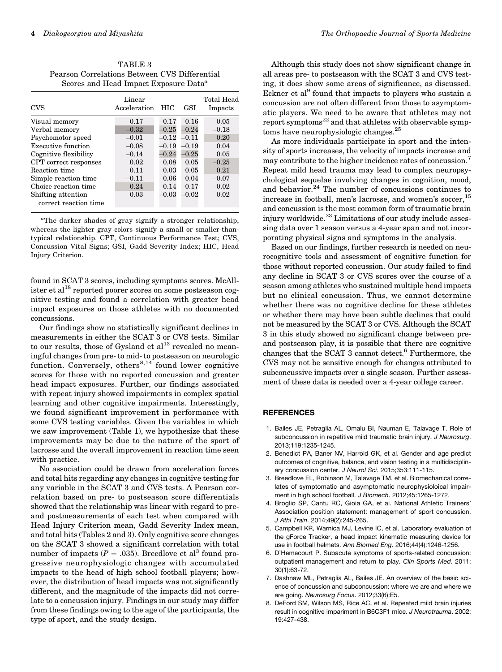TABLE 3 Pearson Correlations Between CVS Differential Scores and Head Impact Exposure Data<sup>a</sup>

| <b>CVS</b>            | Linear<br>Acceleration | HIC       | GSI     | Total Head<br>Impacts |
|-----------------------|------------------------|-----------|---------|-----------------------|
| Visual memory         | 0.17                   | 0.17      | 0.16    | 0.05                  |
| Verbal memory         | $-0.32$                | $-0.25$   | $-0.24$ | $-0.18$               |
| Psychomotor speed     | $-0.01$                | $-0.12\,$ | $-0.11$ | 0.20                  |
| Executive function    | $-0.08$                | $-0.19$   | $-0.19$ | 0.04                  |
| Cognitive flexibility | $-0.14$                | $-0.24$   | $-0.25$ | 0.05                  |
| CPT correct responses | 0.02                   | 0.08      | 0.05    | $-0.25$               |
| Reaction time         | 0.11                   | 0.03      | 0.05    | 0.21                  |
| Simple reaction time  | $-0.11$                | 0.06      | 0.04    | $-0.07$               |
| Choice reaction time  | 0.24                   | 0.14      | 0.17    | $-0.02$               |
| Shifting attention    | 0.03                   | $-0.03$   | $-0.02$ | 0.02                  |
| correct reaction time |                        |           |         |                       |

a The darker shades of gray signify a stronger relationship, whereas the lighter gray colors signify a small or smaller-thantypical relationship. CPT, Continuous Performance Test; CVS, Concussion Vital Signs; GSI, Gadd Severity Index; HIC, Head Injury Criterion.

found in SCAT 3 scores, including symptoms scores. McAllister et al<sup>18</sup> reported poorer scores on some postseason cognitive testing and found a correlation with greater head impact exposures on those athletes with no documented concussions.

Our findings show no statistically significant declines in measurements in either the SCAT 3 or CVS tests. Similar to our results, those of Gysland et  $al<sup>13</sup>$  revealed no meaningful changes from pre- to mid- to postseason on neurologic function. Conversely, others $8,14$  found lower cognitive scores for those with no reported concussion and greater head impact exposures. Further, our findings associated with repeat injury showed impairments in complex spatial learning and other cognitive impairments. Interestingly, we found significant improvement in performance with some CVS testing variables. Given the variables in which we saw improvement (Table 1), we hypothesize that these improvements may be due to the nature of the sport of lacrosse and the overall improvement in reaction time seen with practice.

No association could be drawn from acceleration forces and total hits regarding any changes in cognitive testing for any variable in the SCAT 3 and CVS tests. A Pearson correlation based on pre- to postseason score differentials showed that the relationship was linear with regard to preand postmeasurements of each test when compared with Head Injury Criterion mean, Gadd Severity Index mean, and total hits (Tables 2 and 3). Only cognitive score changes on the SCAT 3 showed a significant correlation with total number of impacts ( $P = .035$ ). Breedlove et al<sup>3</sup> found progressive neurophysiologic changes with accumulated impacts to the head of high school football players; however, the distribution of head impacts was not significantly different, and the magnitude of the impacts did not correlate to a concussion injury. Findings in our study may differ from these findings owing to the age of the participants, the type of sport, and the study design.

Although this study does not show significant change in all areas pre- to postseason with the SCAT 3 and CVS testing, it does show some areas of significance, as discussed. Eckner et al<sup>9</sup> found that impacts to players who sustain a concussion are not often different from those to asymptomatic players. We need to be aware that athletes may not report symptoms<sup>22</sup> and that athletes with observable symptoms have neurophysiologic changes.<sup>25</sup>

As more individuals participate in sport and the intensity of sports increases, the velocity of impacts increase and may contribute to the higher incidence rates of concussion.<sup>7</sup> Repeat mild head trauma may lead to complex neuropsychological sequelae involving changes in cognition, mood, and behavior.<sup>24</sup> The number of concussions continues to increase in football, men's lacrosse, and women's soccer,<sup>15</sup> and concussion is the most common form of traumatic brain injury worldwide.<sup>23</sup> Limitations of our study include assessing data over 1 season versus a 4-year span and not incorporating physical signs and symptoms in the analysis.

Based on our findings, further research is needed on neurocognitive tools and assessment of cognitive function for those without reported concussion. Our study failed to find any decline in SCAT 3 or CVS scores over the course of a season among athletes who sustained multiple head impacts but no clinical concussion. Thus, we cannot determine whether there was no cognitive decline for these athletes or whether there may have been subtle declines that could not be measured by the SCAT 3 or CVS. Although the SCAT 3 in this study showed no significant change between preand postseason play, it is possible that there are cognitive changes that the SCAT 3 cannot detect. $^6$  Furthermore, the CVS may not be sensitive enough for changes attributed to subconcussive impacts over a single season. Further assessment of these data is needed over a 4-year college career.

# **REFERENCES**

- 1. Bailes JE, Petraglia AL, Omalu BI, Nauman E, Talavage T. Role of subconcussion in repetitive mild traumatic brain injury. J Neurosurg. 2013;119:1235-1245.
- 2. Benedict PA, Baner NV, Harrold GK, et al. Gender and age predict outcomes of cognitive, balance, and vision testing in a multidisciplinary concussion center. J Neurol Sci. 2015;353:111-115.
- 3. Breedlove EL, Robinson M, Talavage TM, et al. Biomechanical correlates of symptomatic and asymptomatic neurophysioloical impairment in high school football. J Biomech. 2012;45:1265-1272.
- 4. Broglio SP, Cantu RC, Gioia GA, et al. National Athletic Trainers' Association position statement: management of sport concussion. J Athl Train. 2014;49(2):245-265.
- 5. Campbell KR, Warnica MJ, Levine IC, et al. Laboratory evaluation of the gForce Tracker, a head impact kinematic measuring device for use in football helmets. Ann Biomed Eng. 2016;44(4):1246-1256.
- 6. D'Hemecourt P. Subacute symptoms of sports-related concussion: outpatient management and return to play. Clin Sports Med. 2011; 30(1):63-72.
- 7. Dashnaw ML, Petraglia AL, Bailes JE. An overview of the basic science of concussion and subconcussion: where we are and where we are going. Neurosurg Focus. 2012;33(6):E5.
- 8. DeFord SM, Wilson MS, Rice AC, et al. Repeated mild brain injuries result in cognitive impariment in B6C3F1 mice. J Neurotrauma. 2002; 19:427-438.